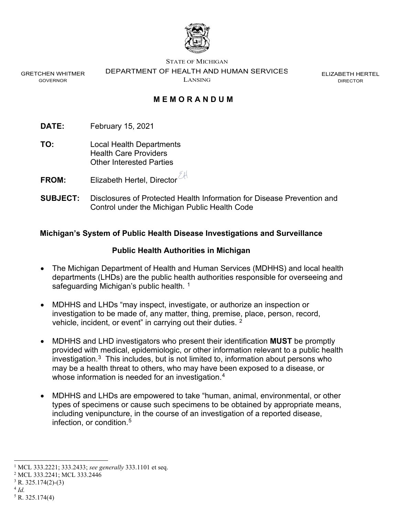

GRETCHEN WHITMER GOVERNOR

STATE OF MICHIGAN

DEPARTMENT OF HEALTH AND HUMAN SERVICES

LANSING

ELIZABETH HERTEL DIRECTOR

# **M E MORANDUM**

- **DATE:** February 15, 2021
- **TO:** Local Health Departments Health Care Providers Other Interested Parties
- **FROM:** Elizabeth Hertel, Director
- **SUBJECT:** Disclosures of Protected Health Information for Disease Prevention and Control under the Michigan Public Health Code

## **Michigan's System of Public Health Disease Investigations and Surveillance**

### **Public Health Authorities in Michigan**

- The Michigan Department of Health and Human Services (MDHHS) and local health departments (LHDs) are the public health authorities responsible for overseeing and safeguarding Michigan's public health.<sup>1</sup>
- MDHHS and LHDs "may inspect, investigate, or authorize an inspection or investigation to be made of, any matter, thing, premise, place, person, record, vehicle, incident, or event" in carrying out their duties. [2](#page-0-1)
- MDHHS and LHD investigators who present their identification **MUST** be promptly provided with medical, epidemiologic, or other information relevant to a public health investigation. $3$  This includes, but is not limited to, information about persons who may be a health threat to others, who may have been exposed to a disease, or whose information is needed for an investigation.<sup>[4](#page-0-3)</sup>
- MDHHS and LHDs are empowered to take "human, animal, environmental, or other types of specimens or cause such specimens to be obtained by appropriate means, including venipuncture, in the course of an investigation of a reported disease, infection, or condition[.5](#page-0-4)

<span id="page-0-0"></span><sup>1</sup> MCL 333.2221; 333.2433; *see generally* 333.1101 et seq.

<span id="page-0-1"></span><sup>2</sup> MCL 333.2241; MCL 333.2446

<span id="page-0-2"></span> $3$  R. 325.174(2)-(3)

<span id="page-0-3"></span><sup>4</sup> *Id.*

<span id="page-0-4"></span> $5 R. 325.174(4)$